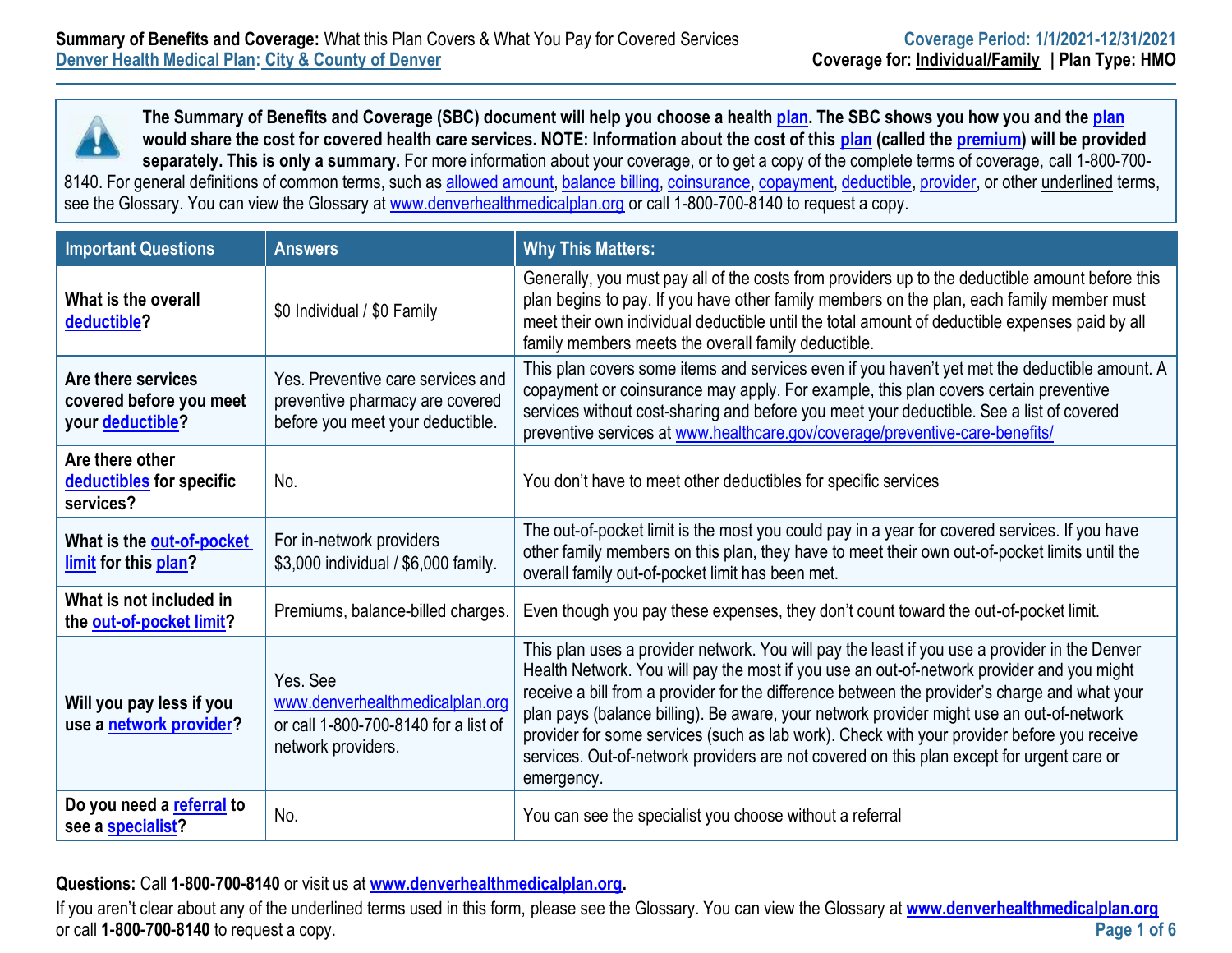**The Summary of Benefits and Coverage (SBC) document will help you choose a health [plan.](https://www.healthcare.gov/sbc-glossary/#plan) The SBC shows you how you and the [plan](https://www.healthcare.gov/sbc-glossary/#plan) would share the cost for covered health care services. NOTE: Information about the cost of this [plan](https://www.healthcare.gov/sbc-glossary/#plan) (called the [premium\)](https://www.healthcare.gov/sbc-glossary/#premium) will be provided separately. This is only a summary.** For more information about your coverage, or to get a copy of the complete terms of coverage, call 1-800-700 8140. For general definitions of common terms, such as [allowed amount,](https://www.healthcare.gov/sbc-glossary/#allowed-amount) [balance billing,](https://www.healthcare.gov/sbc-glossary/#balance-billing) [coinsurance,](https://www.healthcare.gov/sbc-glossary/#coinsurance) [copayment,](https://www.healthcare.gov/sbc-glossary/#copayment) [deductible,](https://www.healthcare.gov/sbc-glossary/#deductible) [provider,](https://www.healthcare.gov/sbc-glossary/#provider) or other underlined terms, see the Glossary. You can view the Glossary at [www.denverhealthmedicalplan.org](http://www.denverhealthmedicalplan.org/) or call 1-800-700-8140 to request a copy.

| <b>Important Questions</b>                                        | <b>Answers</b>                                                                                            | <b>Why This Matters:</b>                                                                                                                                                                                                                                                                                                                                                                                                                                                                                                                                                                         |
|-------------------------------------------------------------------|-----------------------------------------------------------------------------------------------------------|--------------------------------------------------------------------------------------------------------------------------------------------------------------------------------------------------------------------------------------------------------------------------------------------------------------------------------------------------------------------------------------------------------------------------------------------------------------------------------------------------------------------------------------------------------------------------------------------------|
| What is the overall<br>deductible?                                | \$0 Individual / \$0 Family                                                                               | Generally, you must pay all of the costs from providers up to the deductible amount before this<br>plan begins to pay. If you have other family members on the plan, each family member must<br>meet their own individual deductible until the total amount of deductible expenses paid by all<br>family members meets the overall family deductible.                                                                                                                                                                                                                                            |
| Are there services<br>covered before you meet<br>your deductible? | Yes. Preventive care services and<br>preventive pharmacy are covered<br>before you meet your deductible.  | This plan covers some items and services even if you haven't yet met the deductible amount. A<br>copayment or coinsurance may apply. For example, this plan covers certain preventive<br>services without cost-sharing and before you meet your deductible. See a list of covered<br>preventive services at www.healthcare.gov/coverage/preventive-care-benefits/                                                                                                                                                                                                                                |
| Are there other<br>deductibles for specific<br>services?          | No.                                                                                                       | You don't have to meet other deductibles for specific services                                                                                                                                                                                                                                                                                                                                                                                                                                                                                                                                   |
| What is the out-of-pocket<br>limit for this plan?                 | For in-network providers<br>\$3,000 individual / \$6,000 family.                                          | The out-of-pocket limit is the most you could pay in a year for covered services. If you have<br>other family members on this plan, they have to meet their own out-of-pocket limits until the<br>overall family out-of-pocket limit has been met.                                                                                                                                                                                                                                                                                                                                               |
| What is not included in<br>the out-of-pocket limit?               | Premiums, balance-billed charges.                                                                         | Even though you pay these expenses, they don't count toward the out-of-pocket limit.                                                                                                                                                                                                                                                                                                                                                                                                                                                                                                             |
| Will you pay less if you<br>use a network provider?               | Yes, See<br>www.denverhealthmedicalplan.org<br>or call 1-800-700-8140 for a list of<br>network providers. | This plan uses a provider network. You will pay the least if you use a provider in the Denver<br>Health Network. You will pay the most if you use an out-of-network provider and you might<br>receive a bill from a provider for the difference between the provider's charge and what your<br>plan pays (balance billing). Be aware, your network provider might use an out-of-network<br>provider for some services (such as lab work). Check with your provider before you receive<br>services. Out-of-network providers are not covered on this plan except for urgent care or<br>emergency. |
| Do you need a referral to<br>see a specialist?                    | No.                                                                                                       | You can see the specialist you choose without a referral                                                                                                                                                                                                                                                                                                                                                                                                                                                                                                                                         |

**Questions:** Call **1-800-700-8140** or visit us at **[www.denverhealthmedicalplan.org.](http://www.denverhealthmedicalplan.org/)** 

If you aren't clear about any of the underlined terms used in this form, please see the Glossary. You can view the Glossary at **[www.denverhealthmedicalplan.org](http://www.denverhealthmedicalplan.org/)** or call **1-800-700-8140** to request a copy. **Page 1 of 6**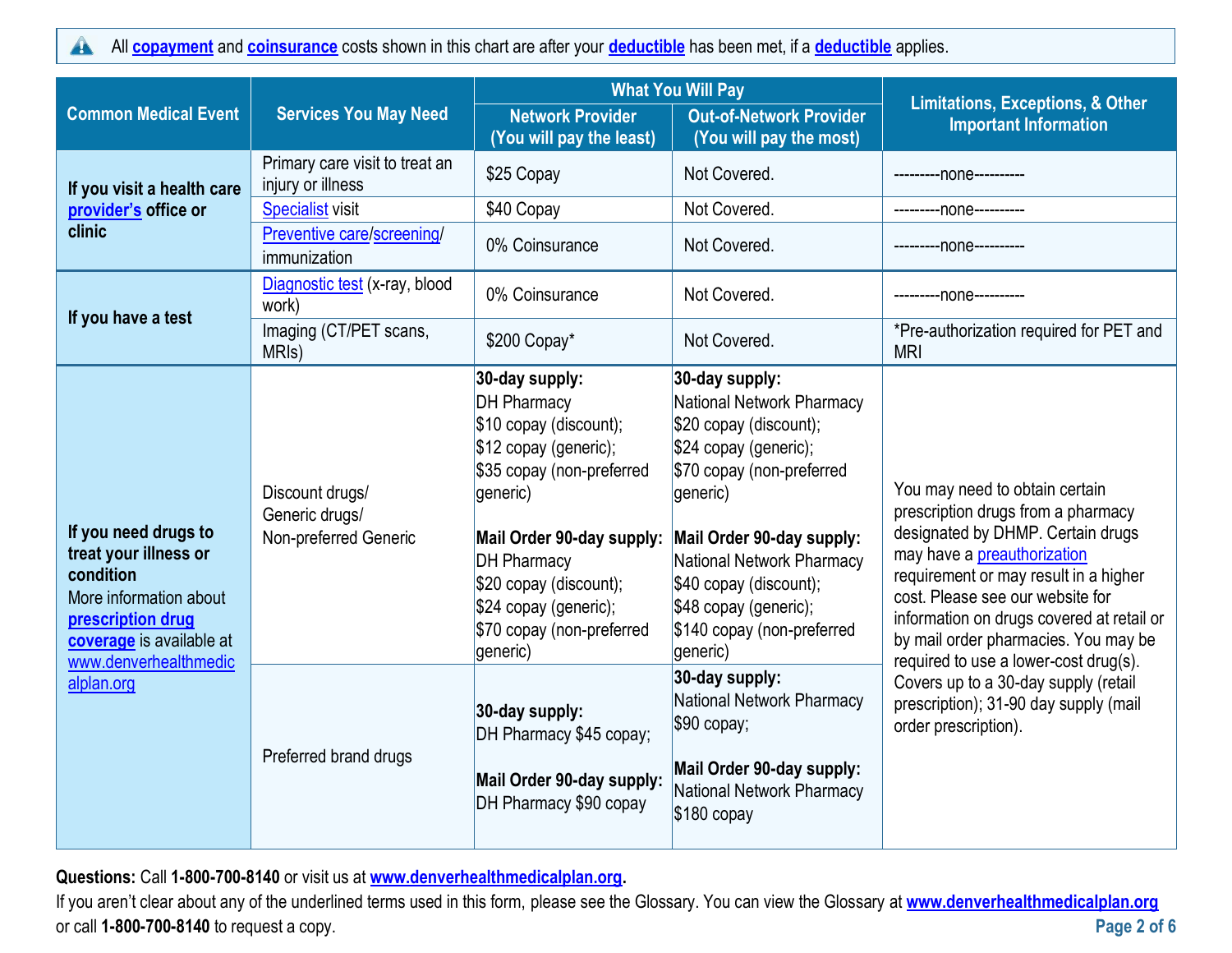All **[copayment](https://www.healthcare.gov/sbc-glossary/#copayment)** and **[coinsurance](https://www.healthcare.gov/sbc-glossary/#coinsurance)** costs shown in this chart are after your **[deductible](https://www.healthcare.gov/sbc-glossary/#deductible)** has been met, if a **[deductible](https://www.healthcare.gov/sbc-glossary/#deductible)** applies.  $\blacktriangle$ 

|                                                                                                                                                                              |                                                            | <b>What You Will Pay</b>                                                                                                                                                                                                                                                        |                                                                                                                                                                                                                                                                                                |                                                                                                                                                                                                                                                                                                                                                                                                                                                              |
|------------------------------------------------------------------------------------------------------------------------------------------------------------------------------|------------------------------------------------------------|---------------------------------------------------------------------------------------------------------------------------------------------------------------------------------------------------------------------------------------------------------------------------------|------------------------------------------------------------------------------------------------------------------------------------------------------------------------------------------------------------------------------------------------------------------------------------------------|--------------------------------------------------------------------------------------------------------------------------------------------------------------------------------------------------------------------------------------------------------------------------------------------------------------------------------------------------------------------------------------------------------------------------------------------------------------|
| <b>Common Medical Event</b>                                                                                                                                                  | <b>Services You May Need</b>                               | <b>Network Provider</b><br>(You will pay the least)                                                                                                                                                                                                                             | <b>Out-of-Network Provider</b><br>(You will pay the most)                                                                                                                                                                                                                                      | <b>Limitations, Exceptions, &amp; Other</b><br><b>Important Information</b>                                                                                                                                                                                                                                                                                                                                                                                  |
| If you visit a health care                                                                                                                                                   | Primary care visit to treat an<br>injury or illness        | \$25 Copay                                                                                                                                                                                                                                                                      | Not Covered.                                                                                                                                                                                                                                                                                   | ---------none----------                                                                                                                                                                                                                                                                                                                                                                                                                                      |
| provider's office or                                                                                                                                                         | <b>Specialist visit</b>                                    | \$40 Copay                                                                                                                                                                                                                                                                      | Not Covered.                                                                                                                                                                                                                                                                                   | ---------none----------                                                                                                                                                                                                                                                                                                                                                                                                                                      |
| clinic                                                                                                                                                                       | Preventive care/screening/<br>immunization                 | 0% Coinsurance                                                                                                                                                                                                                                                                  | Not Covered.                                                                                                                                                                                                                                                                                   | -----none----------                                                                                                                                                                                                                                                                                                                                                                                                                                          |
| If you have a test                                                                                                                                                           | Diagnostic test (x-ray, blood<br>work)                     | 0% Coinsurance                                                                                                                                                                                                                                                                  | Not Covered.                                                                                                                                                                                                                                                                                   | ---------none---------                                                                                                                                                                                                                                                                                                                                                                                                                                       |
|                                                                                                                                                                              | Imaging (CT/PET scans,<br>MRI <sub>s</sub> )               | \$200 Copay*                                                                                                                                                                                                                                                                    | Not Covered.                                                                                                                                                                                                                                                                                   | *Pre-authorization required for PET and<br><b>MRI</b>                                                                                                                                                                                                                                                                                                                                                                                                        |
| If you need drugs to<br>treat your illness or<br>condition<br>More information about<br>prescription drug<br>coverage is available at<br>www.denverhealthmedic<br>alplan.org | Discount drugs/<br>Generic drugs/<br>Non-preferred Generic | 30-day supply:<br><b>DH Pharmacy</b><br>\$10 copay (discount);<br>\$12 copay (generic);<br>\$35 copay (non-preferred<br>generic)<br>Mail Order 90-day supply:<br><b>DH Pharmacy</b><br>\$20 copay (discount);<br>\$24 copay (generic);<br>\$70 copay (non-preferred<br>generic) | 30-day supply:<br>National Network Pharmacy<br>\$20 copay (discount);<br>\$24 copay (generic);<br>\$70 copay (non-preferred<br>generic)<br>Mail Order 90-day supply:<br>National Network Pharmacy<br>\$40 copay (discount);<br>\$48 copay (generic);<br>\$140 copay (non-preferred<br>generic) | You may need to obtain certain<br>prescription drugs from a pharmacy<br>designated by DHMP. Certain drugs<br>may have a preauthorization<br>requirement or may result in a higher<br>cost. Please see our website for<br>information on drugs covered at retail or<br>by mail order pharmacies. You may be<br>required to use a lower-cost drug(s).<br>Covers up to a 30-day supply (retail<br>prescription); 31-90 day supply (mail<br>order prescription). |
|                                                                                                                                                                              | Preferred brand drugs                                      | 30-day supply:<br>DH Pharmacy \$45 copay;<br>Mail Order 90-day supply:<br>DH Pharmacy \$90 copay                                                                                                                                                                                | 30-day supply:<br>National Network Pharmacy<br>$$90$ copay;<br>Mail Order 90-day supply:<br><b>National Network Pharmacy</b><br>$$180$ copay                                                                                                                                                   |                                                                                                                                                                                                                                                                                                                                                                                                                                                              |

**Questions:** Call **1-800-700-8140** or visit us at **[www.denverhealthmedicalplan.org.](http://www.denverhealthmedicalplan.org/)** 

If you aren't clear about any of the underlined terms used in this form, please see the Glossary. You can view the Glossary at **[www.denverhealthmedicalplan.org](http://www.denverhealthmedicalplan.org/)** or call **1-800-700-8140** to request a copy. **Page 2 of 6**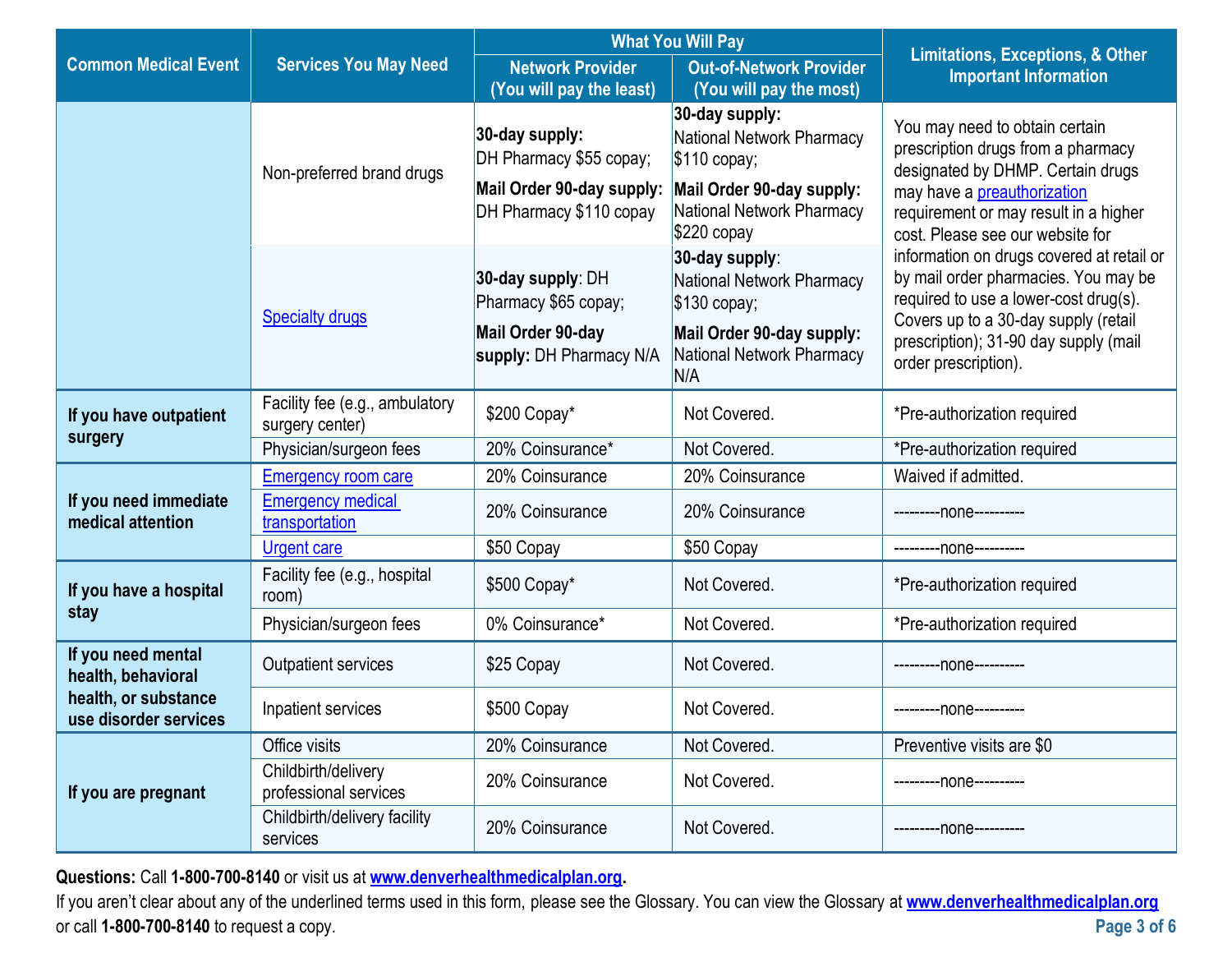|                                               |                                                   | <b>What You Will Pay</b>                                                                          |                                                                                                                                               | Limitations, Exceptions, & Other                                                                                                                                                                                                                                        |
|-----------------------------------------------|---------------------------------------------------|---------------------------------------------------------------------------------------------------|-----------------------------------------------------------------------------------------------------------------------------------------------|-------------------------------------------------------------------------------------------------------------------------------------------------------------------------------------------------------------------------------------------------------------------------|
| <b>Common Medical Event</b>                   | <b>Services You May Need</b>                      | <b>Network Provider</b><br>(You will pay the least)                                               | <b>Out-of-Network Provider</b><br>(You will pay the most)                                                                                     | <b>Important Information</b>                                                                                                                                                                                                                                            |
|                                               | Non-preferred brand drugs                         | 30-day supply:<br>DH Pharmacy \$55 copay;<br>Mail Order 90-day supply:<br>DH Pharmacy \$110 copay | 30-day supply:<br>National Network Pharmacy<br>$$110$ copay;<br>Mail Order 90-day supply:<br><b>National Network Pharmacy</b><br>$$220$ copay | You may need to obtain certain<br>prescription drugs from a pharmacy<br>designated by DHMP. Certain drugs<br>may have a preauthorization<br>requirement or may result in a higher                                                                                       |
|                                               | <b>Specialty drugs</b>                            | 30-day supply: DH<br>Pharmacy \$65 copay;<br>Mail Order 90-day<br>supply: DH Pharmacy N/A         | 30-day supply:<br>National Network Pharmacy<br>$$130$ copay;<br>Mail Order 90-day supply:<br><b>National Network Pharmacy</b><br>N/A          | cost. Please see our website for<br>information on drugs covered at retail or<br>by mail order pharmacies. You may be<br>required to use a lower-cost drug(s).<br>Covers up to a 30-day supply (retail<br>prescription); 31-90 day supply (mail<br>order prescription). |
| If you have outpatient<br>surgery             | Facility fee (e.g., ambulatory<br>surgery center) | \$200 Copay*                                                                                      | Not Covered.                                                                                                                                  | *Pre-authorization required                                                                                                                                                                                                                                             |
|                                               | Physician/surgeon fees                            | 20% Coinsurance*                                                                                  | Not Covered.                                                                                                                                  | *Pre-authorization required                                                                                                                                                                                                                                             |
|                                               | <b>Emergency room care</b>                        | 20% Coinsurance                                                                                   | 20% Coinsurance                                                                                                                               | Waived if admitted.                                                                                                                                                                                                                                                     |
| If you need immediate<br>medical attention    | <b>Emergency medical</b><br>transportation        | 20% Coinsurance                                                                                   | 20% Coinsurance                                                                                                                               | ---------none----------                                                                                                                                                                                                                                                 |
|                                               | <b>Urgent care</b>                                | \$50 Copay                                                                                        | \$50 Copay                                                                                                                                    | ---------none----------                                                                                                                                                                                                                                                 |
| If you have a hospital                        | Facility fee (e.g., hospital<br>room)             | \$500 Copay*                                                                                      | Not Covered.                                                                                                                                  | *Pre-authorization required                                                                                                                                                                                                                                             |
| stay                                          | Physician/surgeon fees                            | 0% Coinsurance*                                                                                   | Not Covered.                                                                                                                                  | *Pre-authorization required                                                                                                                                                                                                                                             |
| If you need mental<br>health, behavioral      | Outpatient services                               | \$25 Copay                                                                                        | Not Covered.                                                                                                                                  | ---------none----------                                                                                                                                                                                                                                                 |
| health, or substance<br>use disorder services | Inpatient services                                | \$500 Copay                                                                                       | Not Covered.                                                                                                                                  | ---------none----------                                                                                                                                                                                                                                                 |
| If you are pregnant                           | Office visits                                     | 20% Coinsurance                                                                                   | Not Covered.                                                                                                                                  | Preventive visits are \$0                                                                                                                                                                                                                                               |
|                                               | Childbirth/delivery<br>professional services      | 20% Coinsurance                                                                                   | Not Covered.                                                                                                                                  | ---------none----------                                                                                                                                                                                                                                                 |
|                                               | Childbirth/delivery facility<br>services          | 20% Coinsurance                                                                                   | Not Covered.                                                                                                                                  | ---------none----------                                                                                                                                                                                                                                                 |

**Questions:** Call **1-800-700-8140** or visit us at **[www.denverhealthmedicalplan.org.](http://www.denverhealthmedicalplan.org/)** 

If you aren't clear about any of the underlined terms used in this form, please see the Glossary. You can view the Glossary at **[www.denverhealthmedicalplan.org](http://www.denverhealthmedicalplan.org/)** or call **1-800-700-8140** to request a copy. **Page 3 of 6**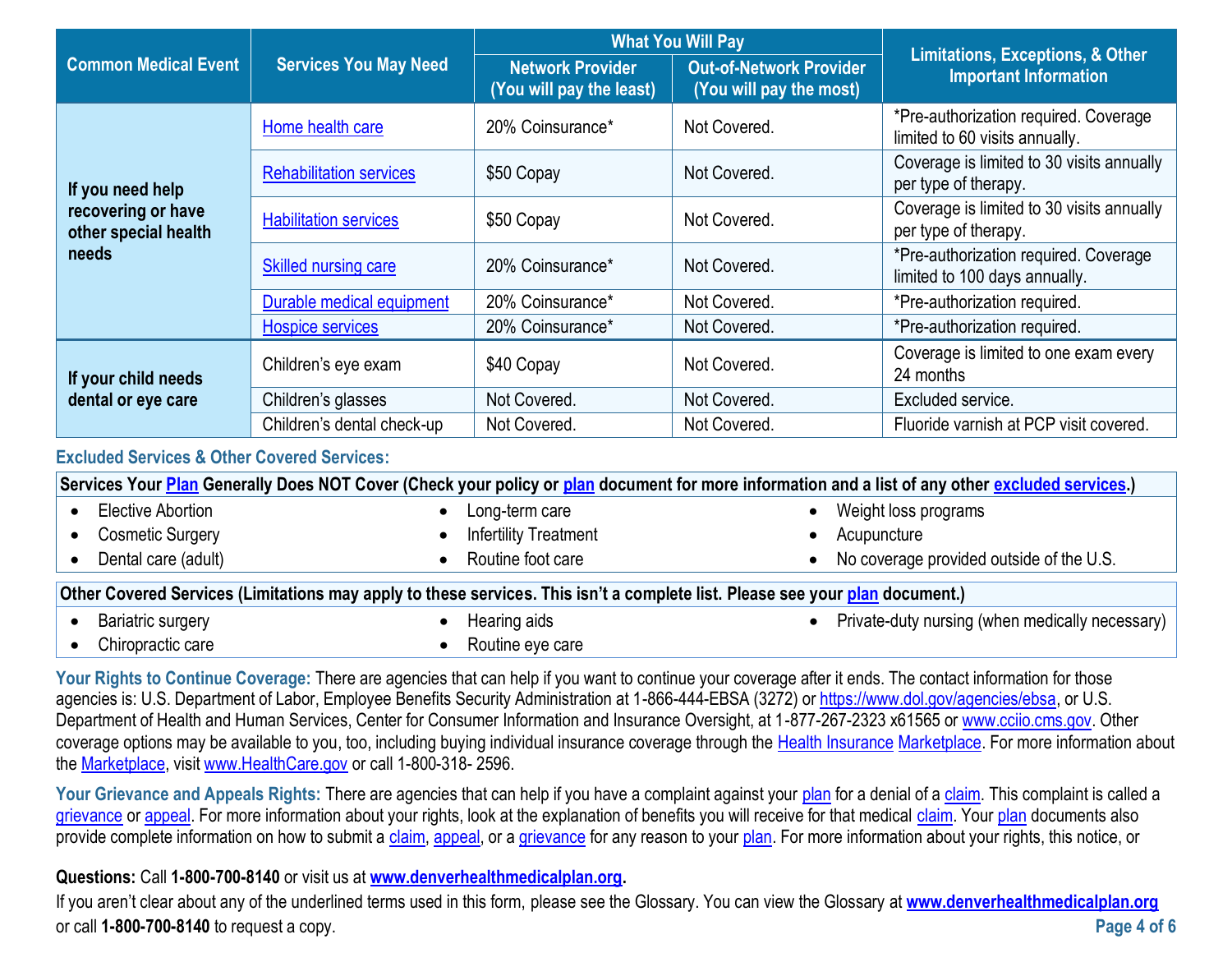|                                                     |                                                      | <b>What You Will Pay</b>                            |                                                           | <b>Limitations, Exceptions, &amp; Other</b>                             |
|-----------------------------------------------------|------------------------------------------------------|-----------------------------------------------------|-----------------------------------------------------------|-------------------------------------------------------------------------|
| <b>Common Medical Event</b>                         | <b>Services You May Need</b>                         | <b>Network Provider</b><br>(You will pay the least) | <b>Out-of-Network Provider</b><br>(You will pay the most) | <b>Important Information</b>                                            |
|                                                     | Home health care                                     | 20% Coinsurance*                                    | Not Covered.                                              | *Pre-authorization required. Coverage<br>limited to 60 visits annually. |
| If you need help                                    | <b>Rehabilitation services</b>                       | \$50 Copay                                          | Not Covered.                                              | Coverage is limited to 30 visits annually<br>per type of therapy.       |
| recovering or have<br>other special health<br>needs | <b>Habilitation services</b>                         | \$50 Copay                                          | Not Covered.                                              | Coverage is limited to 30 visits annually<br>per type of therapy.       |
|                                                     | <b>Skilled nursing care</b>                          | 20% Coinsurance*                                    | Not Covered.                                              | *Pre-authorization required. Coverage<br>limited to 100 days annually.  |
|                                                     | Durable medical equipment                            | 20% Coinsurance*                                    | Not Covered.                                              | *Pre-authorization required.                                            |
|                                                     | 20% Coinsurance*<br>Not Covered.<br>Hospice services |                                                     | *Pre-authorization required.                              |                                                                         |
| If your child needs<br>dental or eye care           | Children's eye exam                                  | \$40 Copay                                          | Not Covered.                                              | Coverage is limited to one exam every<br>24 months                      |
|                                                     | Children's glasses                                   | Not Covered.                                        | Not Covered.                                              | Excluded service.                                                       |
|                                                     | Children's dental check-up                           | Not Covered.                                        | Not Covered.                                              | Fluoride varnish at PCP visit covered.                                  |

## **Excluded Services & Other Covered Services:**

|                          |                                                                                                                              | Services Your Plan Generally Does NOT Cover (Check your policy or plan document for more information and a list of any other excluded services.) |
|--------------------------|------------------------------------------------------------------------------------------------------------------------------|--------------------------------------------------------------------------------------------------------------------------------------------------|
| Elective Abortion        | Long-term care                                                                                                               | Weight loss programs                                                                                                                             |
| <b>Cosmetic Surgery</b>  | <b>Infertility Treatment</b>                                                                                                 | Acupuncture                                                                                                                                      |
| Dental care (adult)      | Routine foot care                                                                                                            | No coverage provided outside of the U.S.                                                                                                         |
|                          | Other Covered Services (Limitations may apply to these services. This isn't a complete list. Please see your plan document.) |                                                                                                                                                  |
| <b>Bariatric surgery</b> | Hearing aids                                                                                                                 | Private-duty nursing (when medically necessary)<br>$\bullet$                                                                                     |

• Chiropractic care

Your Rights to Continue Coverage: There are agencies that can help if you want to continue your coverage after it ends. The contact information for those agencies is: U.S. Department of Labor, Employee Benefits Security Administration at 1-866-444-EBSA (3272) or [https://www.dol.gov/agencies/ebsa,](https://www.dol.gov/agencies/ebsa) or U.S. Department of Health and Human Services, Center for Consumer Information and Insurance Oversight, at 1-877-267-2323 x61565 or [www.cciio.cms.gov.](http://www.cciio.cms.gov/) Other coverage options may be available to you, too, including buying individual insurance coverage through the [Health Insurance](https://www.healthcare.gov/sbc-glossary/#health-insurance) [Marketplace.](https://www.healthcare.gov/sbc-glossary/#marketplace) For more information about the [Marketplace,](https://www.healthcare.gov/sbc-glossary/#marketplace) visit [www.HealthCare.gov](http://www.healthcare.gov/) or call 1-800-318- 2596.

• Routine eve care

Your Grievance and Appeals Rights: There are agencies that can help if you have a complaint against your [plan](https://www.healthcare.gov/sbc-glossary/#plan) for a denial of a [claim.](https://www.healthcare.gov/sbc-glossary/#claim) This complaint is called a [grievance](https://www.healthcare.gov/sbc-glossary/#grievance) or [appeal.](https://www.healthcare.gov/sbc-glossary/#appeal) For more information about your rights, look at the explanation of benefits you will receive for that medical [claim.](https://www.healthcare.gov/sbc-glossary/#claim) Your [plan](https://www.healthcare.gov/sbc-glossary/#plan) documents also provide complete information on how to submit a [claim,](https://www.healthcare.gov/sbc-glossary/#claim) [appeal,](https://www.healthcare.gov/sbc-glossary/#appeal) or a [grievance](https://www.healthcare.gov/sbc-glossary/#grievance) for any reason to your [plan.](https://www.healthcare.gov/sbc-glossary/#plan) For more information about your rights, this notice, or

## **Questions:** Call **1-800-700-8140** or visit us at **[www.denverhealthmedicalplan.org.](http://www.denverhealthmedicalplan.org/)**

If you aren't clear about any of the underlined terms used in this form, please see the Glossary. You can view the Glossary at **[www.denverhealthmedicalplan.org](http://www.denverhealthmedicalplan.org/)** or call **1-800-700-8140** to request a copy. **Page 4 of 6**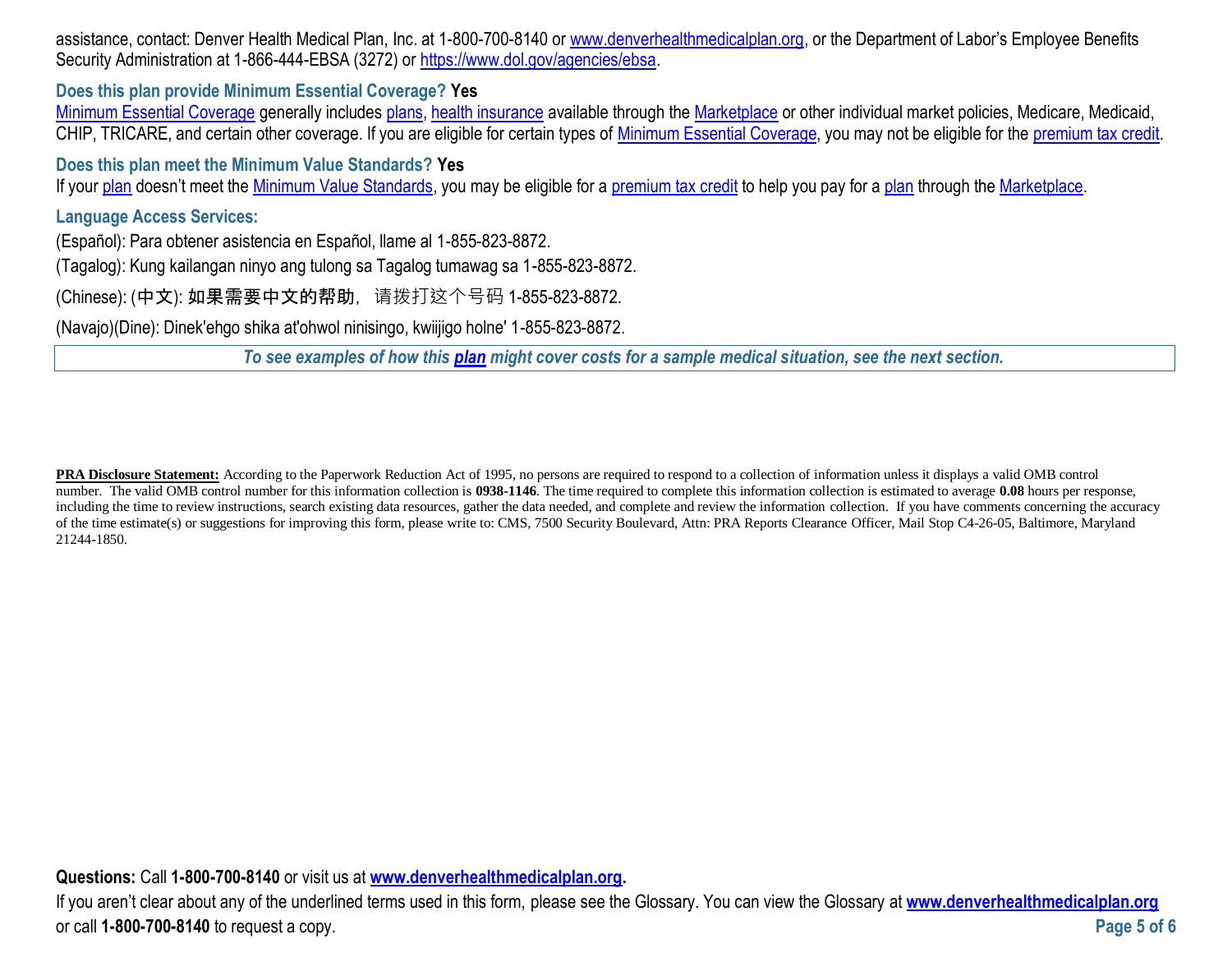assistance, contact: Denver Health Medical Plan, Inc. at 1-800-700-8140 or [www.denverhealthmedicalplan.org](http://www.denverhealthmedicalplan.org/), or the Department of Labor's Employee Benefits Security Administration at 1-866-444-EBSA (3272) or [https://www.dol.gov/agencies/ebsa.](https://www.dol.gov/agencies/ebsa)

**Does this plan provide Minimum Essential Coverage? Yes**

[Minimum Essential Coverage](https://www.healthcare.gov/sbc-glossary/#minimum-essential-coverage) generally includes [plans,](https://www.healthcare.gov/sbc-glossary/#plan) [health insurance](https://www.healthcare.gov/sbc-glossary/#health-insurance) available through the [Marketplace](https://www.healthcare.gov/sbc-glossary/#marketplace) or other individual market policies, Medicare, Medicaid, CHIP, TRICARE, and certain other coverage. If you are eligible for certain types of [Minimum Essential Coverage,](https://www.healthcare.gov/sbc-glossary/#minimum-essential-coverage) you may not be eligible for the [premium tax credit.](https://www.healthcare.gov/sbc-glossary/#premium-tax-credits)

**Does this plan meet the Minimum Value Standards? Yes**

If your [plan](https://www.healthcare.gov/sbc-glossary/#plan) doesn't meet the [Minimum Value Standards,](https://www.healthcare.gov/sbc-glossary/#minimum-value-standard) you may be eligible for a [premium tax credit](https://www.healthcare.gov/sbc-glossary/#premium-tax-credits) to help you pay for a plan through the [Marketplace.](https://www.healthcare.gov/sbc-glossary/#marketplace)

**Language Access Services:**

(Español): Para obtener asistencia en Español, llame al 1-855-823-8872.

(Tagalog): Kung kailangan ninyo ang tulong sa Tagalog tumawag sa 1-855-823-8872.

(Chinese): (中文): 如果需要中文的帮助,请拨打这个号码 1-855-823-8872.

(Navajo)(Dine): Dinek'ehgo shika at'ohwol ninisingo, kwiijigo holne' 1-855-823-8872.

*To see examples of how this [plan](https://www.healthcare.gov/sbc-glossary/#plan) might cover costs for a sample medical situation, see the next section.*

**PRA Disclosure Statement:** According to the Paperwork Reduction Act of 1995, no persons are required to respond to a collection of information unless it displays a valid OMB control number. The valid OMB control number for this information collection is **0938-1146**. The time required to complete this information collection is estimated to average **0.08** hours per response, including the time to review instructions, search existing data resources, gather the data needed, and complete and review the information collection. If you have comments concerning the accuracy of the time estimate(s) or suggestions for improving this form, please write to: CMS, 7500 Security Boulevard, Attn: PRA Reports Clearance Officer, Mail Stop C4-26-05, Baltimore, Maryland 21244-1850.

**Questions:** Call **1-800-700-8140** or visit us at **[www.denverhealthmedicalplan.org.](http://www.denverhealthmedicalplan.org/)** 

If you aren't clear about any of the underlined terms used in this form, please see the Glossary. You can view the Glossary at **[www.denverhealthmedicalplan.org](http://www.denverhealthmedicalplan.org/)** or call **1-800-700-8140** to request a copy. **Page 5 of 6**